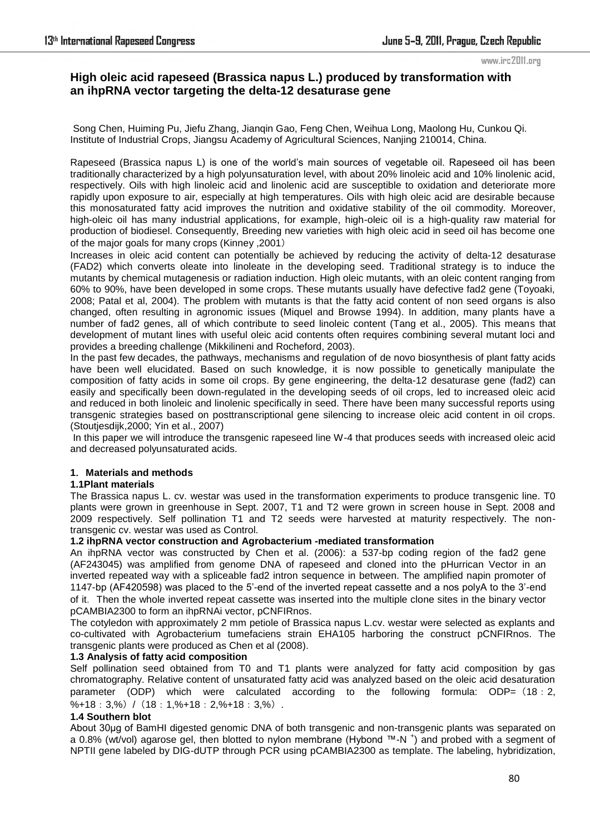#### www.irc2011.org

# **High oleic acid rapeseed (Brassica napus L.) produced by transformation with an ihpRNA vector targeting the delta-12 desaturase gene**

 Song Chen, Huiming Pu, Jiefu Zhang, Jianqin Gao, Feng Chen, Weihua Long, Maolong Hu, Cunkou Qi. Institute of Industrial Crops, Jiangsu Academy of Agricultural Sciences, Nanjing 210014, China.

Rapeseed (Brassica napus L) is one of the world"s main sources of vegetable oil. Rapeseed oil has been traditionally characterized by a high polyunsaturation level, with about 20% linoleic acid and 10% linolenic acid, respectively. Oils with high linoleic acid and linolenic acid are susceptible to oxidation and deteriorate more rapidly upon exposure to air, especially at high temperatures. Oils with high oleic acid are desirable because this monosaturated fatty acid improves the nutrition and oxidative stability of the oil commodity. Moreover, high-oleic oil has many industrial applications, for example, high-oleic oil is a high-quality raw material for production of biodiesel. Consequently, Breeding new varieties with high oleic acid in seed oil has become one of the major goals for many crops (Kinney ,2001)

Increases in oleic acid content can potentially be achieved by reducing the activity of delta-12 desaturase (FAD2) which converts oleate into linoleate in the developing seed. Traditional strategy is to induce the mutants by chemical mutagenesis or radiation induction. High oleic mutants, with an oleic content ranging from 60% to 90%, have been developed in some crops. These mutants usually have defective fad2 gene (Toyoaki, 2008; Patal et al, 2004). The problem with mutants is that the fatty acid content of non seed organs is also changed, often resulting in agronomic issues (Miquel and Browse 1994). In addition, many plants have a number of fad2 genes, all of which contribute to seed linoleic content (Tang et al., 2005). This means that development of mutant lines with useful oleic acid contents often requires combining several mutant loci and provides a breeding challenge (Mikkilineni and Rocheford, 2003).

In the past few decades, the pathways, mechanisms and regulation of de novo biosynthesis of plant fatty acids have been well elucidated. Based on such knowledge, it is now possible to genetically manipulate the composition of fatty acids in some oil crops. By gene engineering, the delta-12 desaturase gene (fad2) can easily and specifically been down-regulated in the developing seeds of oil crops, led to increased oleic acid and reduced in both linoleic and linolenic specifically in seed. There have been many successful reports using transgenic strategies based on posttranscriptional gene silencing to increase oleic acid content in oil crops. (Stoutjesdijk,2000; Yin et al., 2007)

 In this paper we will introduce the transgenic rapeseed line W-4 that produces seeds with increased oleic acid and decreased polyunsaturated acids.

### **1**.**Materials and methods**

### **1.1Plant materials**

The Brassica napus L. cv. westar was used in the transformation experiments to produce transgenic line. T0 plants were grown in greenhouse in Sept. 2007, T1 and T2 were grown in screen house in Sept. 2008 and 2009 respectively. Self pollination T1 and T2 seeds were harvested at maturity respectively. The nontransgenic cv. westar was used as Control.

### **1.2 ihpRNA vector construction and Agrobacterium -mediated transformation**

An ihpRNA vector was constructed by Chen et al. (2006): a 537-bp coding region of the fad2 gene (AF243045) was amplified from genome DNA of rapeseed and cloned into the pHurrican Vector in an inverted repeated way with a spliceable fad2 intron sequence in between. The amplified napin promoter of 1147-bp (AF420598) was placed to the 5"-end of the inverted repeat cassette and a nos polyA to the 3"-end of it. Then the whole inverted repeat cassette was inserted into the multiple clone sites in the binary vector pCAMBIA2300 to form an ihpRNAi vector, pCNFIRnos.

The cotyledon with approximately 2 mm petiole of Brassica napus L.cv. westar were selected as explants and co-cultivated with Agrobacterium tumefaciens strain EHA105 harboring the construct pCNFIRnos. The transgenic plants were produced as Chen et al (2008).

### **1.3 Analysis of fatty acid composition**

Self pollination seed obtained from T0 and T1 plants were analyzed for fatty acid composition by gas chromatography. Relative content of unsaturated fatty acid was analyzed based on the oleic acid desaturation parameter (ODP) which were calculated according to the following formula:  $ODP=$  (18:2,  $%+18:3,\%$ ) / (18:1,%+18:2,%+18:3,%).

## **1.4 Southern blot**

About 30μg of BamHI digested genomic DNA of both transgenic and non-transgenic plants was separated on a 0.8% (wt/vol) agarose gel, then blotted to nylon membrane (Hybond ™-N <sup>+</sup> ) and probed with a segment of NPTII gene labeled by DIG-dUTP through PCR using pCAMBIA2300 as template. The labeling, hybridization,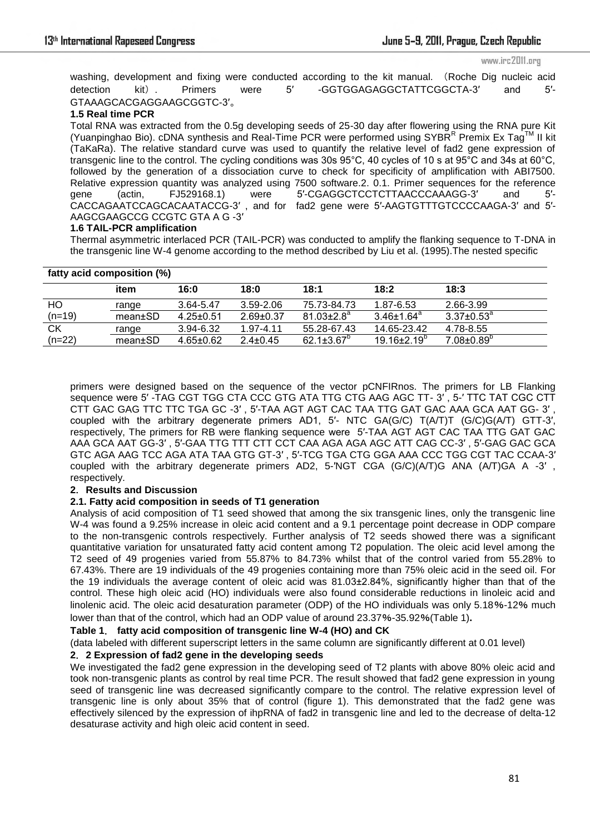www.irc2011.org

washing, development and fixing were conducted according to the kit manual. (Roche Dig nucleic acid detection kit). Primers were 5′ -GGTGGAGAGGCTATTCGGCTA-3′ and 5′- GTAAAGCACGAGGAAGCGGTC-3′。

## **1.5 Real time PCR**

Total RNA was extracted from the 0.5g developing seeds of 25-30 day after flowering using the RNA pure Kit (Yuanpinghao Bio). cDNA synthesis and Real-Time PCR were performed using SYBRRR Premix Ex Tag™ II kit (TaKaRa). The relative standard curve was used to quantify the relative level of fad2 gene expression of transgenic line to the control. The cycling conditions was 30s 95°C, 40 cycles of 10 s at 95°C and 34s at 60°C, followed by the generation of a dissociation curve to check for specificity of amplification with ABI7500. Relative expression quantity was analyzed using 7500 software.2. 0.1. Primer sequences for the reference gene (actin, FJ529168.1) were 5'-CGAGGCTCCTCTTAACCCAAAGG-3' and 5'-CACCAGAATCCAGCACAATACCG-3′ , and for fad2 gene were 5′-AAGTGTTTGTCCCCAAGA-3′ and 5′- AAGCGAAGCCG CCGTC GTA A G -3′

## **1.6 TAIL-PCR amplification**

Thermal asymmetric interlaced PCR (TAIL-PCR) was conducted to amplify the flanking sequence to T-DNA in the transgenic line W-4 genome according to the method described by Liu et al. (1995).The nested specific

| fatty acid composition (%) |         |                 |                 |                              |                          |                              |
|----------------------------|---------|-----------------|-----------------|------------------------------|--------------------------|------------------------------|
|                            | item    | 16:0            | 18:0            | 18:1                         | 18:2                     | 18:3                         |
| HO                         | range   | 3.64-5.47       | 3.59-2.06       | 75.73-84.73                  | 1.87-6.53                | 2.66-3.99                    |
| $(n=19)$                   | mean±SD | $4.25 + 0.51$   | $2.69 \pm 0.37$ | $81.03 \pm 2.8$ <sup>a</sup> | $3.46 \pm 1.64^a$        | $3.37{\pm}0.53^{\mathrm{a}}$ |
| СK                         | range   | 3.94-6.32       | 1.97-4.11       | 55.28-67.43                  | 14.65-23.42              | 4.78-8.55                    |
| $(n=22)$                   | mean±SD | $4.65 \pm 0.62$ | $2.4 \pm 0.45$  | 62.1 $\pm$ 3.67 $^{\circ}$   | $19.16 \pm 2.19^{\circ}$ | $7.08 \pm 0.89$ <sup>p</sup> |

primers were designed based on the sequence of the vector pCNFIRnos. The primers for LB Flanking sequence were 5′ -TAG CGT TGG CTA CCC GTG ATA TTG CTG AAG AGC TT- 3′ , 5-′ TTC TAT CGC CTT CTT GAC GAG TTC TTC TGA GC -3′ , 5′-TAA AGT AGT CAC TAA TTG GAT GAC AAA GCA AAT GG- 3′ , coupled with the arbitrary degenerate primers AD1, 5′- NTC GA(G/C) T(A/T)T (G/C)G(A/T) GTT-3′, respectively, The primers for RB were flanking sequence were 5′-TAA AGT AGT CAC TAA TTG GAT GAC AAA GCA AAT GG-3′ , 5′-GAA TTG TTT CTT CCT CAA AGA AGA AGC ATT CAG CC-3′ , 5′-GAG GAC GCA GTC AGA AAG TCC AGA ATA TAA GTG GT-3′ , 5′-TCG TGA CTG GGA AAA CCC TGG CGT TAC CCAA-3′ coupled with the arbitrary degenerate primers AD2, 5-′NGT CGA (G/C)(A/T)G ANA (A/T)GA A -3′ , respectively.

## **2**.**Results and Discussion**

## **2.1. Fatty acid composition in seeds of T1 generation**

Analysis of acid composition of T1 seed showed that among the six transgenic lines, only the transgenic line W-4 was found a 9.25% increase in oleic acid content and a 9.1 percentage point decrease in ODP compare to the non-transgenic controls respectively. Further analysis of T2 seeds showed there was a significant quantitative variation for unsaturated fatty acid content among T2 population. The oleic acid level among the T2 seed of 49 progenies varied from 55.87% to 84.73% whilst that of the control varied from 55.28% to 67.43%. There are 19 individuals of the 49 progenies containing more than 75% oleic acid in the seed oil. For the 19 individuals the average content of oleic acid was 81.03±2.84%, significantly higher than that of the control. These high oleic acid (HO) individuals were also found considerable reductions in linoleic acid and linolenic acid. The oleic acid desaturation parameter (ODP) of the HO individuals was only 5.18%-12% much lower than that of the control, which had an ODP value of around 23.37%-35.92%(Table 1)**.** 

### **Table 1**. **fatty acid composition of transgenic line W-4 (HO) and CK**

(data labeled with different superscript letters in the same column are significantly different at 0.01 level)

## **2**.**2 Expression of fad2 gene in the developing seeds**

We investigated the fad2 gene expression in the developing seed of T2 plants with above 80% oleic acid and took non-transgenic plants as control by real time PCR. The result showed that fad2 gene expression in young seed of transgenic line was decreased significantly compare to the control. The relative expression level of transgenic line is only about 35% that of control (figure 1). This demonstrated that the fad2 gene was effectively silenced by the expression of ihpRNA of fad2 in transgenic line and led to the decrease of delta-12 desaturase activity and high oleic acid content in seed.